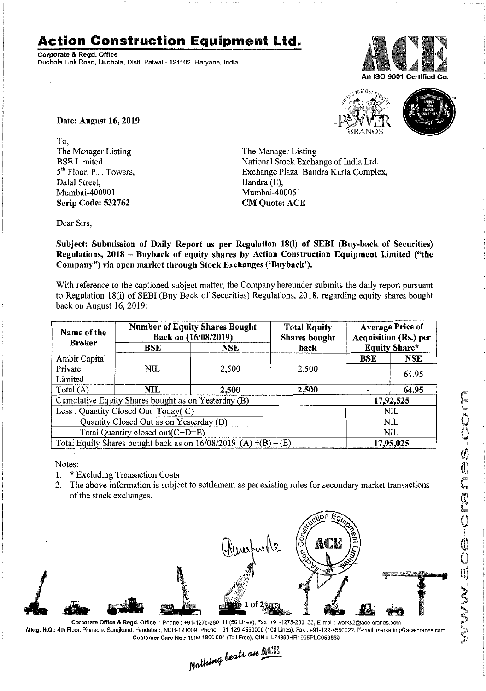## **Action Construction Equipment Ltd.**

Corporate & Regd. Office Dudhola Link Road, Dudhola, Distt. Palwal- 121102, Haryana, India



 $-10$  MOS)



Date: August 16, 2019

To, The Manager Listing BSE Limited 5<sup>th</sup> Floor, P.J. Towers, Dalal Street, Mumbai-400001 Scrip Code: 532762

The Manager Listing National Stock Exchange of India Ltd. Exchange Plaza, Bandra Kurla Complex, Bandra (E), Mumbai-400051 **CM Quote: ACE** 

Dear Sirs,

Subject: Submission of Daily Report as per Regulation 18(i) of SEBI (Buy-back of Securities) Regulations, 2018 - Buyback of equity shares by Action Construction Equipment Limited ("the Company") via open market through Stock Exchanges ('Buyback').

With reference to the captioned subject matter, the Company hereunder submits the daily report pursuant to Regulation IS(i) of SEBI (Buy Back of Securities) Regulations, 20 IS, regarding equity shares bought back on August 16, 2019:

| Name of the<br><b>Broker</b>                                      | <b>Number of Equity Shares Bought</b><br>Back on (16/08/2019) |            | <b>Total Equity</b><br>Shares bought | <b>Average Price of</b><br><b>Acquisition (Rs.) per</b> |                      |  |
|-------------------------------------------------------------------|---------------------------------------------------------------|------------|--------------------------------------|---------------------------------------------------------|----------------------|--|
|                                                                   | BSE                                                           | <b>NSE</b> | back                                 |                                                         | <b>Equity Share*</b> |  |
| Ambit Capital                                                     |                                                               |            |                                      | BSE                                                     | <b>NSE</b>           |  |
| Private                                                           | <b>NIL</b>                                                    | 2,500      | 2,500                                |                                                         |                      |  |
| Limited                                                           |                                                               |            |                                      |                                                         | 64.95                |  |
| Total $(A)$                                                       | <b>NIL</b>                                                    | 2,500      | 2,500                                |                                                         | 64.95                |  |
| Cumulative Equity Shares bought as on Yesterday (B)               |                                                               |            |                                      |                                                         | 17,92,525            |  |
| Less: Quantity Closed Out Today(C)                                |                                                               |            |                                      |                                                         | NIL                  |  |
| Quantity Closed Out as on Yesterday (D)                           |                                                               |            |                                      | NIL                                                     |                      |  |
| Total Quantity closed out(C+D=E)                                  |                                                               |            |                                      |                                                         | NIL                  |  |
| Total Equity Shares bought back as on $16/08/2019$ (A) +(B) – (E) |                                                               |            |                                      | 17,95,025                                               |                      |  |

Notes:

- 1\_ \* Excluding Transaction Costs
- 2. The above information is subject to settlement as per existing rules for secondary market transactions of the stock exchanges.



Corporate Office & Regd. OffIce: Phone: +91-1275-280111(50 Lines), Fax:+91-1275-280133, E-mail: works2@ace-cranes.com Mktg. H.Q,: 4th Floor,Pinnacle, Surajkund, Faridabad, NCR-121Q09,Phone: +91-129-4550000 (100 Lines),Fax: +91-129-4550022, E-mail:marketing@ace-cranes.com Customer Care No.: 1800 1800004 (TollFree), erN: L74899HR1995PLC053860

 $L$  *an*  $\mathbb{AL}$ . *N~~'" ---*